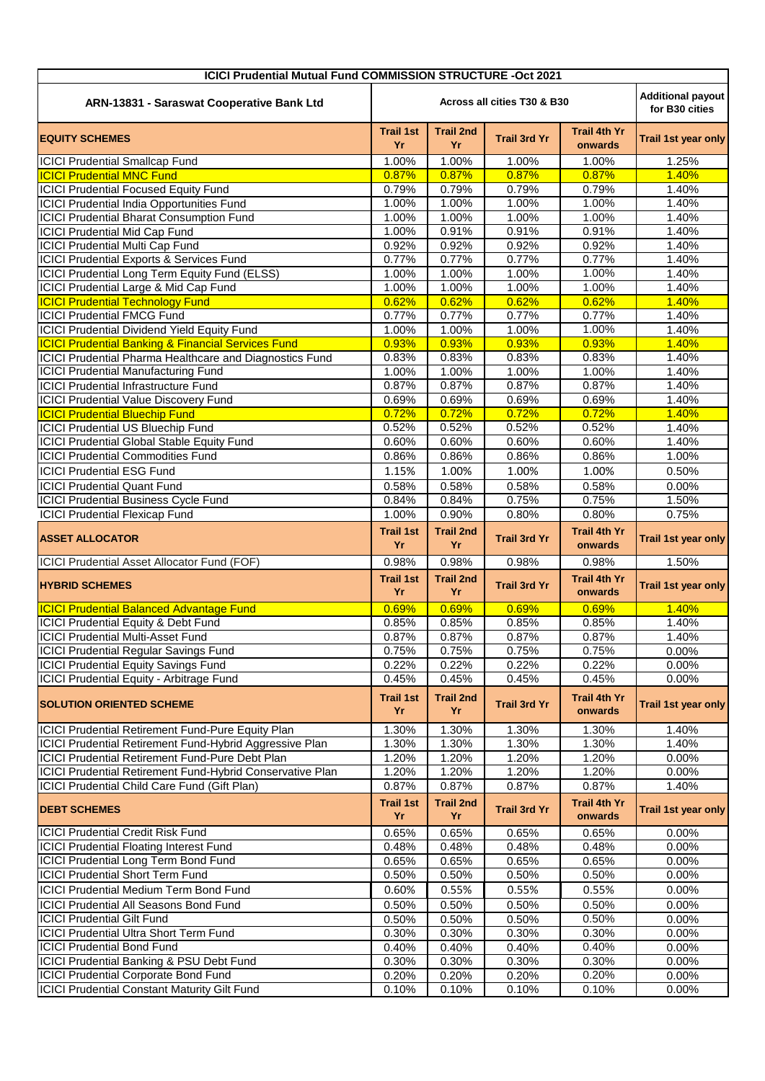| <b>ICICI Prudential Mutual Fund COMMISSION STRUCTURE -Oct 2021</b> |                                                                           |                        |                     |                                |                            |  |  |  |
|--------------------------------------------------------------------|---------------------------------------------------------------------------|------------------------|---------------------|--------------------------------|----------------------------|--|--|--|
| ARN-13831 - Saraswat Cooperative Bank Ltd                          | <b>Additional payout</b><br>Across all cities T30 & B30<br>for B30 cities |                        |                     |                                |                            |  |  |  |
| <b>EQUITY SCHEMES</b>                                              | <b>Trail 1st</b><br>Yr                                                    | <b>Trail 2nd</b><br>Yr | <b>Trail 3rd Yr</b> | <b>Trail 4th Yr</b><br>onwards | Trail 1st year only        |  |  |  |
| <b>ICICI Prudential Smallcap Fund</b>                              | 1.00%                                                                     | $\overline{1.00\%}$    | 1.00%               | 1.00%                          | 1.25%                      |  |  |  |
| <b>ICICI Prudential MNC Fund</b>                                   | 0.87%                                                                     | 0.87%                  | 0.87%               | 0.87%                          | 1.40%                      |  |  |  |
| <b>ICICI Prudential Focused Equity Fund</b>                        | 0.79%                                                                     | 0.79%                  | 0.79%               | 0.79%                          | 1.40%                      |  |  |  |
| <b>ICICI Prudential India Opportunities Fund</b>                   | 1.00%                                                                     | 1.00%                  | 1.00%               | 1.00%                          | 1.40%                      |  |  |  |
| <b>ICICI Prudential Bharat Consumption Fund</b>                    | 1.00%                                                                     | 1.00%                  | 1.00%               | 1.00%                          | 1.40%                      |  |  |  |
| <b>ICICI Prudential Mid Cap Fund</b>                               | 1.00%                                                                     | 0.91%                  | 0.91%               | 0.91%                          | 1.40%                      |  |  |  |
| <b>ICICI Prudential Multi Cap Fund</b>                             | 0.92%                                                                     | 0.92%                  | 0.92%               | 0.92%                          | 1.40%                      |  |  |  |
| ICICI Prudential Exports & Services Fund                           | 0.77%                                                                     | 0.77%                  | 0.77%               | 0.77%                          | 1.40%                      |  |  |  |
| ICICI Prudential Long Term Equity Fund (ELSS)                      | 1.00%                                                                     | 1.00%                  | 1.00%               | 1.00%                          | 1.40%                      |  |  |  |
| <b>ICICI Prudential Large &amp; Mid Cap Fund</b>                   | 1.00%                                                                     | 1.00%                  | 1.00%               | 1.00%                          | 1.40%                      |  |  |  |
| <b>ICICI Prudential Technology Fund</b>                            | 0.62%                                                                     | 0.62%                  | 0.62%               | 0.62%                          | 1.40%                      |  |  |  |
| <b>ICICI Prudential FMCG Fund</b>                                  | 0.77%                                                                     | 0.77%                  | 0.77%               | 0.77%                          | 1.40%                      |  |  |  |
| <b>ICICI Prudential Dividend Yield Equity Fund</b>                 | 1.00%                                                                     | 1.00%                  | 1.00%               | 1.00%                          | 1.40%                      |  |  |  |
| <b>ICICI Prudential Banking &amp; Financial Services Fund</b>      | 0.93%                                                                     | 0.93%                  | 0.93%               | 0.93%                          | 1.40%                      |  |  |  |
| ICICI Prudential Pharma Healthcare and Diagnostics Fund            | 0.83%                                                                     | 0.83%                  | 0.83%               | 0.83%                          | 1.40%                      |  |  |  |
| <b>ICICI Prudential Manufacturing Fund</b>                         | 1.00%                                                                     | 1.00%                  | 1.00%               | 1.00%                          | 1.40%                      |  |  |  |
| <b>ICICI Prudential Infrastructure Fund</b>                        | 0.87%                                                                     | 0.87%                  | 0.87%               | 0.87%                          | 1.40%                      |  |  |  |
| <b>ICICI Prudential Value Discovery Fund</b>                       | 0.69%                                                                     | 0.69%                  | 0.69%               | 0.69%                          | 1.40%                      |  |  |  |
| <b>ICICI Prudential Bluechip Fund</b>                              | 0.72%                                                                     | 0.72%                  | 0.72%               | 0.72%                          | 1.40%                      |  |  |  |
| <b>ICICI Prudential US Bluechip Fund</b>                           | 0.52%                                                                     | 0.52%                  | 0.52%               | 0.52%                          | 1.40%                      |  |  |  |
| <b>ICICI Prudential Global Stable Equity Fund</b>                  | 0.60%                                                                     | 0.60%                  | 0.60%               | 0.60%                          | 1.40%                      |  |  |  |
| <b>ICICI Prudential Commodities Fund</b>                           | 0.86%                                                                     | 0.86%                  | 0.86%               | 0.86%                          | 1.00%                      |  |  |  |
| <b>ICICI Prudential ESG Fund</b>                                   | 1.15%                                                                     | 1.00%                  | 1.00%               | 1.00%                          | 0.50%                      |  |  |  |
| <b>ICICI Prudential Quant Fund</b>                                 | 0.58%                                                                     | 0.58%                  | 0.58%               | 0.58%                          | 0.00%                      |  |  |  |
| <b>ICICI Prudential Business Cycle Fund</b>                        | 0.84%                                                                     | 0.84%                  | 0.75%               | 0.75%                          | 1.50%                      |  |  |  |
| <b>ICICI Prudential Flexicap Fund</b>                              | 1.00%                                                                     | 0.90%                  | 0.80%               | 0.80%                          | 0.75%                      |  |  |  |
| <b>ASSET ALLOCATOR</b>                                             | <b>Trail 1st</b><br>Yr                                                    | <b>Trail 2nd</b><br>Yr | <b>Trail 3rd Yr</b> | Trail 4th Yr<br>onwards        | Trail 1st year only        |  |  |  |
| ICICI Prudential Asset Allocator Fund (FOF)                        | 0.98%                                                                     | 0.98%                  | 0.98%               | 0.98%                          | 1.50%                      |  |  |  |
| <b>HYBRID SCHEMES</b>                                              | <b>Trail 1st</b><br>Yr                                                    | <b>Trail 2nd</b><br>Yr | <b>Trail 3rd Yr</b> | <b>Trail 4th Yr</b><br>onwards | Trail 1st year only        |  |  |  |
| <b>ICICI Prudential Balanced Advantage Fund</b>                    | 0.69%                                                                     | 0.69%                  | 0.69%               | 0.69%                          | 1.40%                      |  |  |  |
| ICICI Prudential Equity & Debt Fund                                | 0.85%                                                                     | 0.85%                  | 0.85%               | 0.85%                          | 1.40%                      |  |  |  |
| <b>ICICI Prudential Multi-Asset Fund</b>                           | 0.87%                                                                     | 0.87%                  | 0.87%               | 0.87%                          | 1.40%                      |  |  |  |
| <b>ICICI Prudential Regular Savings Fund</b>                       | 0.75%                                                                     | 0.75%                  | 0.75%               | 0.75%                          | 0.00%                      |  |  |  |
| <b>ICICI Prudential Equity Savings Fund</b>                        | 0.22%                                                                     | 0.22%                  | 0.22%               | 0.22%                          | 0.00%                      |  |  |  |
| ICICI Prudential Equity - Arbitrage Fund                           | 0.45%                                                                     | 0.45%                  | 0.45%               | 0.45%                          | 0.00%                      |  |  |  |
| <b>SOLUTION ORIENTED SCHEME</b>                                    | <b>Trail 1st</b><br>Yr                                                    | <b>Trail 2nd</b><br>Yr | <b>Trail 3rd Yr</b> | <b>Trail 4th Yr</b><br>onwards | Trail 1st year only        |  |  |  |
| <b>ICICI Prudential Retirement Fund-Pure Equity Plan</b>           | 1.30%                                                                     | 1.30%                  | 1.30%               | 1.30%                          | 1.40%                      |  |  |  |
| ICICI Prudential Retirement Fund-Hybrid Aggressive Plan            | 1.30%                                                                     | 1.30%                  | 1.30%               | 1.30%                          | 1.40%                      |  |  |  |
| ICICI Prudential Retirement Fund-Pure Debt Plan                    | 1.20%                                                                     | 1.20%                  | 1.20%               | 1.20%                          | 0.00%                      |  |  |  |
| ICICI Prudential Retirement Fund-Hybrid Conservative Plan          | 1.20%                                                                     | 1.20%                  | 1.20%               | 1.20%                          | 0.00%                      |  |  |  |
| ICICI Prudential Child Care Fund (Gift Plan)                       | 0.87%                                                                     | 0.87%                  | 0.87%               | 0.87%                          | 1.40%                      |  |  |  |
| <b>DEBT SCHEMES</b>                                                | <b>Trail 1st</b><br>Yr                                                    | <b>Trail 2nd</b><br>Yr | <b>Trail 3rd Yr</b> | Trail 4th Yr<br>onwards        | <b>Trail 1st year only</b> |  |  |  |
| <b>ICICI Prudential Credit Risk Fund</b>                           | 0.65%                                                                     | 0.65%                  | 0.65%               | 0.65%                          | 0.00%                      |  |  |  |
| <b>ICICI Prudential Floating Interest Fund</b>                     | 0.48%                                                                     | 0.48%                  | 0.48%               | 0.48%                          | 0.00%                      |  |  |  |
| <b>ICICI Prudential Long Term Bond Fund</b>                        | 0.65%                                                                     | 0.65%                  | 0.65%               | 0.65%                          | 0.00%                      |  |  |  |
| <b>ICICI Prudential Short Term Fund</b>                            | 0.50%                                                                     | 0.50%                  | 0.50%               | 0.50%                          | 0.00%                      |  |  |  |
| ICICI Prudential Medium Term Bond Fund                             | 0.60%                                                                     | 0.55%                  | 0.55%               | 0.55%                          | 0.00%                      |  |  |  |
| <b>ICICI Prudential All Seasons Bond Fund</b>                      | 0.50%                                                                     | 0.50%                  | 0.50%               | 0.50%                          | 0.00%                      |  |  |  |
| <b>ICICI Prudential Gilt Fund</b>                                  | 0.50%                                                                     | 0.50%                  | 0.50%               | 0.50%                          | 0.00%                      |  |  |  |
| <b>ICICI Prudential Ultra Short Term Fund</b>                      | 0.30%                                                                     | 0.30%                  | 0.30%               | 0.30%                          | 0.00%                      |  |  |  |
| <b>ICICI Prudential Bond Fund</b>                                  | 0.40%                                                                     | 0.40%                  | 0.40%               | 0.40%                          | 0.00%                      |  |  |  |
| ICICI Prudential Banking & PSU Debt Fund                           | 0.30%                                                                     | 0.30%                  | 0.30%               | 0.30%                          | 0.00%                      |  |  |  |
| <b>ICICI Prudential Corporate Bond Fund</b>                        | 0.20%                                                                     | 0.20%                  | 0.20%               | 0.20%                          | 0.00%                      |  |  |  |
| <b>ICICI Prudential Constant Maturity Gilt Fund</b>                | 0.10%                                                                     | 0.10%                  | 0.10%               | 0.10%                          | 0.00%                      |  |  |  |